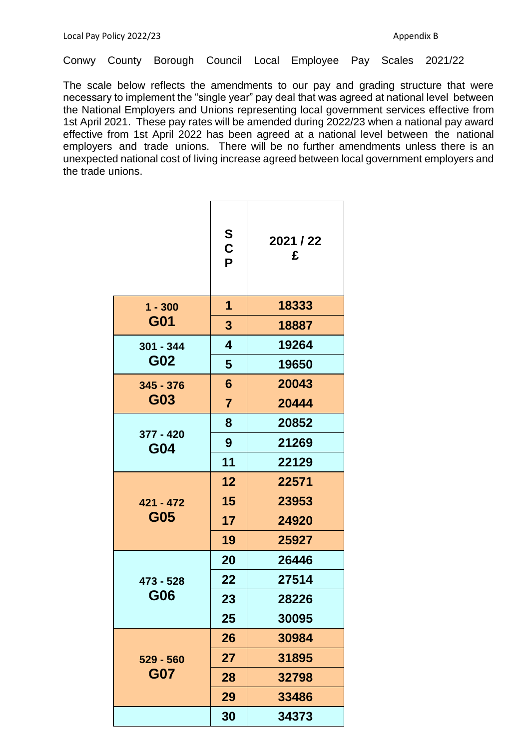Conwy County Borough Council Local Employee Pay Scales 2021/22

The scale below reflects the amendments to our pay and grading structure that were necessary to implement the "single year" pay deal that was agreed at national level between the National Employers and Unions representing local government services effective from 1st April 2021. These pay rates will be amended during 2022/23 when a national pay award effective from 1st April 2022 has been agreed at a national level between the national employers and trade unions. There will be no further amendments unless there is an unexpected national cost of living increase agreed between local government employers and the trade unions.

|                           | S<br>$\mathbf C$<br>P   | 2021 / 22<br>£ |
|---------------------------|-------------------------|----------------|
| $1 - 300$<br>G01          | $\mathbf 1$             | 18333          |
|                           | $\overline{\mathbf{3}}$ | 18887          |
| $301 - 344$<br>G02        | $\overline{\mathbf{4}}$ | 19264          |
|                           | $5\phantom{1}$          | 19650          |
| $345 - 376$<br>G03        | $6\phantom{1}$          | 20043          |
|                           | $\overline{7}$          | 20444          |
| 377 - 420<br>G04          | 8                       | 20852          |
|                           | 9                       | 21269          |
|                           | 11                      | 22129          |
| $421 - 472$<br>G05        | 12                      | 22571          |
|                           | 15                      | 23953          |
|                           | 17                      | 24920          |
|                           | 19                      | 25927          |
| 473 - 528<br>G06          | 20                      | 26446          |
|                           | 22                      | 27514          |
|                           | 23                      | 28226          |
|                           | 25                      | 30095          |
| $529 - 560$<br><b>G07</b> | 26                      | 30984          |
|                           | 27                      | 31895          |
|                           | 28                      | 32798          |
|                           | 29                      | 33486          |
|                           | 30                      | 34373          |